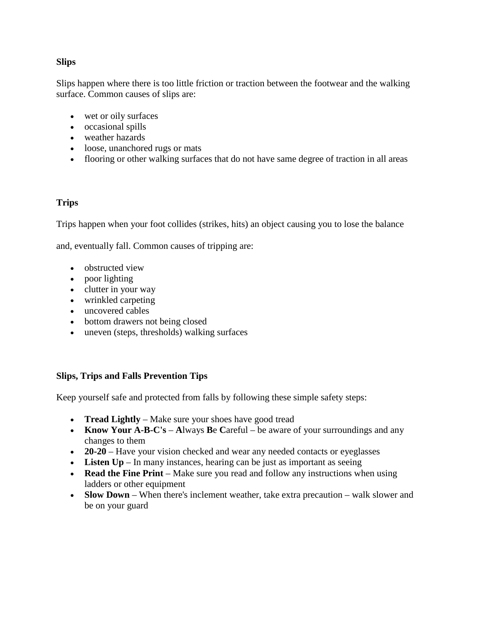## **Slips**

Slips happen where there is too little friction or traction between the footwear and the walking surface. Common causes of slips are:

- wet or oily surfaces
- occasional spills
- weather hazards
- loose, unanchored rugs or mats
- flooring or other walking surfaces that do not have same degree of traction in all areas

# **Trips**

Trips happen when your foot collides (strikes, hits) an object causing you to lose the balance

and, eventually fall. Common causes of tripping are:

- obstructed view
- poor lighting
- clutter in your way
- wrinkled carpeting
- uncovered cables
- bottom drawers not being closed
- uneven (steps, thresholds) walking surfaces

## **Slips, Trips and Falls Prevention Tips**

Keep yourself safe and protected from falls by following these simple safety steps:

- **Tread Lightly** Make sure your shoes have good tread
- **Know Your A-B-C's A**lways **Be Careful** be aware of your surroundings and any changes to them
- **20-20** Have your vision checked and wear any needed contacts or eyeglasses
- **Listen Up** In many instances, hearing can be just as important as seeing
- **Read the Fine Print** Make sure you read and follow any instructions when using ladders or other equipment
- **Slow Down** When there's inclement weather, take extra precaution walk slower and be on your guard